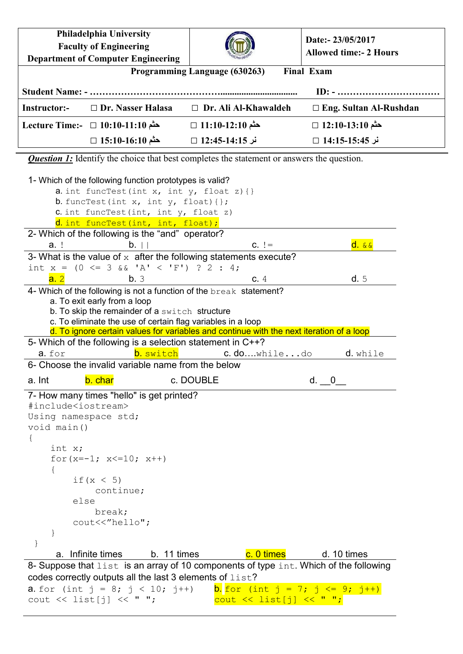**Philadelphia University Faculty of Engineering Department of Computer Engineering Date:- 23/05/2017 Allowed time:- 2 Hours Programming Language (630263) Final Exam Student Name: - ……………………………………................................. ID: - …………………………… Instructor:-** □ **Dr. Nasser Halasa** □ **Dr. Ali Al-Khawaldeh** □ **Eng. Sultan Al-Rushdan حثم 12:10-13:10** □ **حثم 11:10-12:10** □ **حثم 10:10-11:10** □ **:-Time Lecture نر 14:15-15:45** □ **نر 12:45-14:15** □ **حثم 15:10-16:10** □ *Question 1:* Identify the choice that best completes the statement or answers the question. 1- Which of the following function prototypes is valid? a. int funcTest(int x, int  $y$ , float  $z$ ) { } **b.** funcTest(int x, int y, float){};  $c.$  int funcTest(int, int  $y$ , float  $z$ ) d. int funcTest(int, int, float); 2- Which of the following is the "and" operator? a. ! b. || c. != d. && 3- What is the value of  $x$  after the following statements execute? int  $x = (0 \le 3 \& 1 \& 1 \le 'F')$  ? 2 : 4; **a.** 2 **b.** 3 **c.** 4 **d.** 5 4- Which of the following is not a function of the break statement? a. To exit early from a loop b. To skip the remainder of a switch structure c. To eliminate the use of certain flag variables in a loop d. To ignore certain values for variables and continue with the next iteration of a loop 5- Which of the following is a selection statement in C++? a. for b. switch c. do...while...do d. while 6- Choose the invalid variable name from the below a. Int b. char c. DOUBLE d. \_\_0\_\_ 7- How many times "hello" is get printed? #include<iostream> Using namespace std; void main() { int x; for  $(x=-1; x<=10; x++)$  { if  $(x < 5)$  continue; else break; cout<<"hello"; } } a. Infinite times b. 11 times c. 0 times d. 10 times 8- Suppose that list is an array of 10 components of type int. Which of the following codes correctly outputs all the last 3 elements of list? **a**. for (int  $j = 8$ ;  $j < 10$ ;  $j++)$  **b.** for (int  $j = 7$ ;  $j \leq 9$ ;  $j++)$ cout  $\lt\lt$  list[j]  $\lt\lt$  " ";  $\frac{1}{\sqrt{2}}$  cout << list[j] << " ";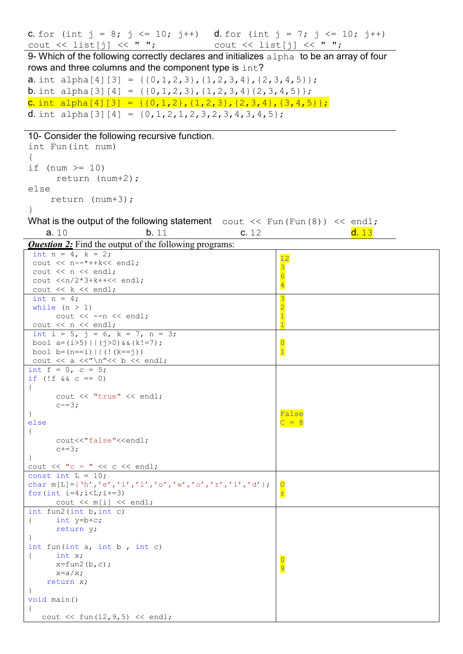| <b>C.</b> for (int $j = 8$ ; $j \le 10$ ; $j++)$ <b>d.</b> for (int $j = 7$ ; $j \le 10$ ; $j++)$                                   |                                  |
|-------------------------------------------------------------------------------------------------------------------------------------|----------------------------------|
| cout $\langle \cdot \rangle$ list[j] $\langle \cdot \rangle$ "; cout $\langle \cdot \rangle$ list[j] $\langle \cdot \rangle$ ";     |                                  |
| 9- Which of the following correctly declares and initializes alpha to be an array of four                                           |                                  |
| rows and three columns and the component type is int?                                                                               |                                  |
| <b>a</b> . int alpha[4][3] = {{0,1,2,3}, {1,2,3,4}, {2,3,4,5}};                                                                     |                                  |
| <b>b</b> . int alpha[3][4] = {{0,1,2,3}, {1,2,3,4}{2,3,4,5}};                                                                       |                                  |
| <b>C.</b> int alpha[4][3] = {{0,1,2}, {1,2,3}, {2,3,4}, {3,4,5}};                                                                   |                                  |
| <b>d</b> . int alpha[3][4] = $\{0, 1, 2, 1, 2, 3, 2, 3, 4, 3, 4, 5\}$ ;                                                             |                                  |
|                                                                                                                                     |                                  |
| 10- Consider the following recursive function.                                                                                      |                                  |
| int Fun(int num)                                                                                                                    |                                  |
| if (num $\ge$ 10)                                                                                                                   |                                  |
| return $(num+2)$ ;                                                                                                                  |                                  |
| else                                                                                                                                |                                  |
| return $(num+3)$ ;                                                                                                                  |                                  |
| $\mathcal{F}$                                                                                                                       |                                  |
| What is the output of the following statement cout $\lt\lt$ Fun (Fun (8)) $\lt\lt$ endl;                                            |                                  |
| b.11<br>a.10<br>c. 12                                                                                                               | d. 13                            |
| <b>Question 2:</b> Find the output of the following programs:                                                                       |                                  |
| int $n = 4$ , $k = 2$ ;                                                                                                             | 12                               |
| cout $<< n--*++k<< end1;$                                                                                                           | 3                                |
| cout $<< n <<$ endl;<br>cout $\langle n/2*3+k++\langle n/2; n/2k\rangle$                                                            | $\overline{6}$                   |
| cout << k << endl;                                                                                                                  | $\overline{4}$                   |
| int $n = 4$ ;                                                                                                                       | 3                                |
| while $(n > 1)$                                                                                                                     | $\overline{2}$                   |
| cout $<<$ --n $<<$ endl;<br>cout $\lt\lt$ n $\lt\lt$ endl;                                                                          | $\overline{1}$<br>$\overline{1}$ |
| int i = 5, j = 6, k = 7, n = 3;                                                                                                     |                                  |
| bool $a=(i>5)$   $(j>0)$ & $(k!=7)$ ;                                                                                               | $\overline{0}$                   |
| bool $b=(n == i)     (!(k == j))$                                                                                                   | $\overline{1}$                   |
| cout $\langle \langle a \langle \langle \rangle \rangle \rangle$ and $\langle \langle a \rangle \rangle$<br>int $f = 0$ , $c = 5$ ; |                                  |
| if (!f $&c == 0$ )                                                                                                                  |                                  |
| $\mathcal{L}$                                                                                                                       |                                  |
| cout << "true" << endl;<br>$c = 3:$                                                                                                 |                                  |
| $\mathbb{F}$                                                                                                                        | False                            |
| else                                                                                                                                | $C = 8$                          |
| $\{$                                                                                                                                |                                  |
| cout<<"false"< <endl;<br><math>c+=3;</math></endl;<br>                                                                              |                                  |
| $\mathcal{F}$                                                                                                                       |                                  |
| cout $\ll$ "c = " $\ll$ c $\ll$ endl;                                                                                               |                                  |
| const int $L = 10$ ;<br>char m[L]={'h','e','l','l','o','w','o','r','l','d'};                                                        |                                  |
| for $(int i=4; i< L; i+=3)$                                                                                                         | $\mathbf{r}$                     |
| cout $\lt\lt m[i] \lt\lt end;$                                                                                                      |                                  |
| int $fun2(int b, int c)$                                                                                                            |                                  |
| int $y=b+c$ ;<br>$\left\{ \right.$<br>return y;                                                                                     |                                  |
|                                                                                                                                     |                                  |
| int fun(int $a$ , int $b$ , int $c$ )                                                                                               |                                  |
| int $x$ ;<br>$\left\{ \right.$                                                                                                      |                                  |
| $x=fun2(b,c);$<br>$x=a/x;$                                                                                                          | 9                                |
| return x;                                                                                                                           |                                  |
| $\mathcal{F}$                                                                                                                       |                                  |
| void main()                                                                                                                         |                                  |
| cout $<<$ fun(12, 9, 5) $<<$ endl;                                                                                                  |                                  |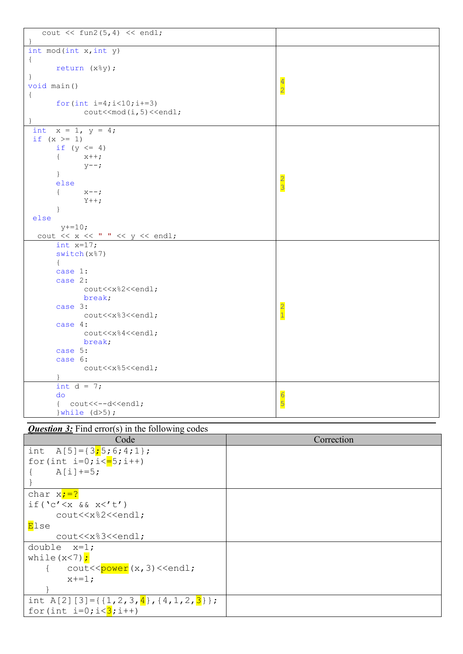| cout $\lt\lt$ fun2(5,4) $\lt\lt$ endl;                                    |                |
|---------------------------------------------------------------------------|----------------|
|                                                                           |                |
| int mod(int x, int y)                                                     |                |
| $\{$                                                                      |                |
| return (x%y);                                                             |                |
| $\}$                                                                      | $\overline{4}$ |
| void main()                                                               | $\overline{2}$ |
| $\{$                                                                      |                |
| for $(int i=4; i<10; i+=3)$                                               |                |
| $\text{cout} \leq \text{mod}(i, 5) \leq \text{endl};$                     |                |
|                                                                           |                |
| int $x = 1$ , $y = 4$ ;                                                   |                |
| if $(x > = 1)$                                                            |                |
| if $(y \leq 4)$                                                           |                |
| $x++;$<br>$\left\{ \right.$                                               |                |
| $y--;$                                                                    |                |
| $\mathcal{F}$                                                             |                |
| else                                                                      |                |
| $\left\{ \right.$                                                         | $\frac{2}{3}$  |
| $X = -7$                                                                  |                |
| $Y++$ ;                                                                   |                |
|                                                                           |                |
| else                                                                      |                |
| $y+=10;$                                                                  |                |
| cout $\langle x \times x \rangle$ " $\langle x \times y \rangle$ endl;    |                |
| int $x=17$ ;                                                              |                |
| switch(x%7)                                                               |                |
| $\left\{ \right.$                                                         |                |
| case 1:                                                                   |                |
| case 2:                                                                   |                |
| cout< <x%2<<endl;< td=""><td></td></x%2<<endl;<>                          |                |
| break;                                                                    |                |
| case 3:                                                                   | $\overline{2}$ |
| cout< <x%3<<endl;< td=""><td><math>\overline{1}</math></td></x%3<<endl;<> | $\overline{1}$ |
| case 4:                                                                   |                |
| cout< <x%4<<endl;< td=""><td></td></x%4<<endl;<>                          |                |
| break;                                                                    |                |
| case 5:                                                                   |                |
| case 6:                                                                   |                |
| cout< <x%5<<endl;< td=""><td></td></x%5<<endl;<>                          |                |
|                                                                           |                |
| int $d = 7$ ;                                                             |                |
| do                                                                        |                |
|                                                                           | 6<br>5         |
| { cout<<--d< <endl;< td=""><td></td></endl;<>                             |                |
| $\}$ while $(d>5)$ ;                                                      |                |
| <b>Question 3:</b> Find error(s) in the following codes                   |                |
|                                                                           |                |
| Code                                                                      | Correction     |
| $A[5] = \{3; 5; 6; 4; 1\}$<br>int                                         |                |
| for(int $i=0; i<=5; i++)$                                                 |                |
| $A[i]+=5;$<br>$\{$                                                        |                |
|                                                                           |                |
| }                                                                         |                |
| char $x; =?$                                                              |                |

| while $(x < 7)$ ;<br>cout< <power(x,3)<<endl;<br><math>x+=1;</math></power(x,3)<<endl;<br> |  |
|--------------------------------------------------------------------------------------------|--|
|                                                                                            |  |
| int A[2][3]={{1,2,3,4},{4,1,2,3}};                                                         |  |
| for (int $i=0$ ; $i<3$ ; $i++$ )                                                           |  |
|                                                                                            |  |

 $if('c' < x & & x < 't')$ 

double x=1;

<mark>E</mark>lse

cout<<x%2<<endl;

cout<<x%3<<endl;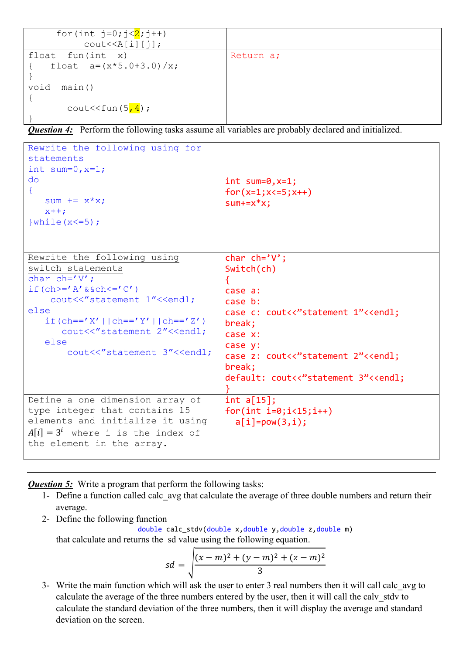| for (int $j=0; j<2; j++)$         |           |
|-----------------------------------|-----------|
| $\text{cout} \le \text{A[i][j]},$ |           |
| float fun(int $x$ )               | Return a; |
| float $a = (x * 5.0 + 3.0) / x;$  |           |
|                                   |           |
| void<br>main()                    |           |
|                                   |           |
| cout << fun $(5, 4)$ ;            |           |
|                                   |           |

*Question 4:* Perform the following tasks assume all variables are probably declared and initialized.

```
Rewrite the following using for
statements
int sum=0, x=1;
do 
{
   sum += x * x;
   x++;\}while(x <= 5);
                                      int sum=0, x=1;
                                      for(x=1; x<=5; x++)sum+=x*x;
Rewrite the following using 
switch statements
char ch='V';
if(ch>='A'&&ch<='C')
    cout<<"statement 1"<<endl;
else
   if(ch=='X'||ch=='Y'||ch=='Z')
      cout<<"statement 2"<<endl;
    else
       cout<<"statement 3"<<endl;
                                      char ch='V';
                                      Switch(ch)
                                      {
                                      case a:
                                      case b:
                                      case c: cout<<"statement 1"<<endl;
                                      break;
                                      case x:
                                      case y:
                                      case z: cout<<"statement 2"<<endl;
                                      break;
                                      default: cout<<"statement 3"<<endl;
                                      }
Define a one dimension array of 
type integer that contains 15 
elements and initialize it using
A[i] = 3^i where i is the index of
the element in the array.
                                      int a[15];
                                      for(int i=0; i<15; i++)a[i] = pow(3,i);
```
*Question 5:* Write a program that perform the following tasks:

- 1- Define a function called calc\_avg that calculate the average of three double numbers and return their average.
- 2- Define the following function

double calc stdv(double x,double y,double z,double m) that calculate and returns the sd value using the following equation.

$$
sd = \sqrt{\frac{(x-m)^2 + (y-m)^2 + (z-m)^2}{3}}
$$

3- Write the main function which will ask the user to enter 3 real numbers then it will call calc\_avg to calculate the average of the three numbers entered by the user, then it will call the calv\_stdv to calculate the standard deviation of the three numbers, then it will display the average and standard deviation on the screen.